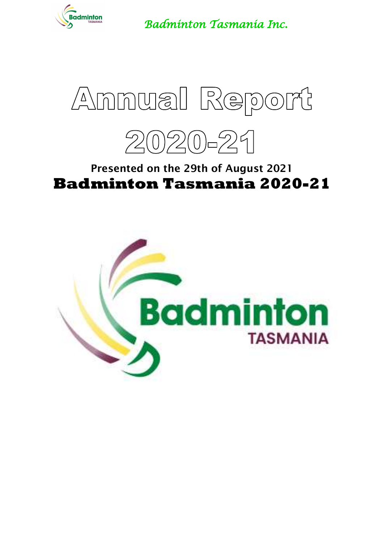



# **Presented on the 29th of August 2021 Badminton Tasmania 2020-21**

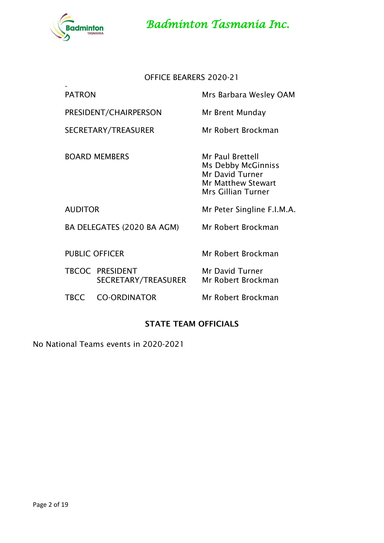

-

 *Badminton Tasmania Inc.* 

# OFFICE BEARERS 2020-21

| <b>PATRON</b>  |                                               | Mrs Barbara Wesley OAM                                                                                       |
|----------------|-----------------------------------------------|--------------------------------------------------------------------------------------------------------------|
|                | PRESIDENT/CHAIRPERSON                         | Mr Brent Munday                                                                                              |
|                | SECRETARY/TREASURER                           | Mr Robert Brockman                                                                                           |
|                | <b>BOARD MEMBERS</b>                          | Mr Paul Brettell<br>Ms Debby McGinniss<br>Mr David Turner<br><b>Mr Matthew Stewart</b><br>Mrs Gillian Turner |
| <b>AUDITOR</b> |                                               | Mr Peter Singline F.I.M.A.                                                                                   |
|                | BA DELEGATES (2020 BA AGM)                    | Mr Robert Brockman                                                                                           |
|                | <b>PUBLIC OFFICER</b>                         | Mr Robert Brockman                                                                                           |
|                | <b>TBCOC PRESIDENT</b><br>SECRETARY/TREASURER | Mr David Turner<br>Mr Robert Brockman                                                                        |
| <b>TBCC</b>    | <b>CO-ORDINATOR</b>                           | Mr Robert Brockman                                                                                           |

# **STATE TEAM OFFICIALS**

No National Teams events in 2020-2021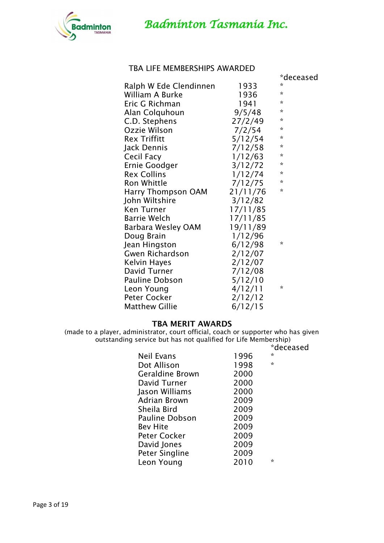

## TBA LIFE MEMBERSHIPS AWARDED

|                           |          | *deceased |
|---------------------------|----------|-----------|
| Ralph W Ede Clendinnen    | 1933     | $^\star$  |
| William A Burke           | 1936     | ÷         |
| Eric G Richman            | 1941     | $\star$   |
| Alan Colquhoun            | 9/5/48   | ×         |
| C.D. Stephens             | 27/2/49  | ×         |
| Ozzie Wilson              | 7/2/54   | $\star$   |
| <b>Rex Triffitt</b>       | 5/12/54  | ×         |
| Jack Dennis               | 7/12/58  | ×         |
| Cecil Facy                | 1/12/63  | $\star$   |
| Ernie Goodger             | 3/12/72  | ×         |
| <b>Rex Collins</b>        | 1/12/74  | $\star$   |
| <b>Ron Whittle</b>        | 7/12/75  | ×         |
| <b>Harry Thompson OAM</b> | 21/11/76 | ×.        |
| John Wiltshire            | 3/12/82  |           |
| <b>Ken Turner</b>         | 17/11/85 |           |
| Barrie Welch              | 17/11/85 |           |
| Barbara Wesley OAM        | 19/11/89 |           |
| Doug Brain                | 1/12/96  |           |
| Jean Hingston             | 6/12/98  | $\star$   |
| <b>Gwen Richardson</b>    | 2/12/07  |           |
| Kelvin Hayes              | 2/12/07  |           |
| David Turner              | 7/12/08  |           |
| <b>Pauline Dobson</b>     | 5/12/10  |           |
| Leon Young                | 4/12/11  | $\star$   |
| <b>Peter Cocker</b>       | 2/12/12  |           |
| <b>Matthew Gillie</b>     | 6/12/15  |           |

#### **TBA MERIT AWARDS**

(made to a player, administrator, court official, coach or supporter who has given outstanding service but has not qualified for Life Membership) erange<br>\*deceased

|                        |      |         | uccca: |
|------------------------|------|---------|--------|
| Neil Evans             | 1996 | $\star$ |        |
| Dot Allison            | 1998 | $\star$ |        |
| <b>Geraldine Brown</b> | 2000 |         |        |
| David Turner           | 2000 |         |        |
| Jason Williams         | 2000 |         |        |
| <b>Adrian Brown</b>    | 2009 |         |        |
| Sheila Bird            | 2009 |         |        |
| <b>Pauline Dobson</b>  | 2009 |         |        |
| <b>Bev Hite</b>        | 2009 |         |        |
| Peter Cocker           | 2009 |         |        |
| David Jones            | 2009 |         |        |
| Peter Singline         | 2009 |         |        |
| Leon Young             | 2010 | ÷       |        |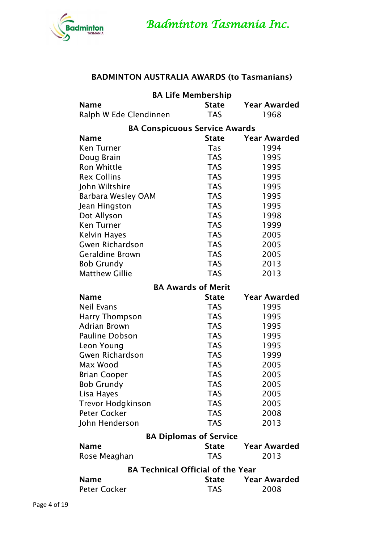

# **BADMINTON AUSTRALIA AWARDS (to Tasmanians)**

| <b>BA Life Membership</b>                |              |                     |  |
|------------------------------------------|--------------|---------------------|--|
| <b>Name</b>                              | <b>State</b> | <b>Year Awarded</b> |  |
| Ralph W Ede Clendinnen                   | <b>TAS</b>   | 1968                |  |
| <b>BA Conspicuous Service Awards</b>     |              |                     |  |
| <b>Name</b>                              | <b>State</b> | <b>Year Awarded</b> |  |
| <b>Ken Turner</b>                        | Tas          | 1994                |  |
| Doug Brain                               | <b>TAS</b>   | 1995                |  |
| Ron Whittle                              | <b>TAS</b>   | 1995                |  |
| <b>Rex Collins</b>                       | <b>TAS</b>   | 1995                |  |
| John Wiltshire                           | <b>TAS</b>   | 1995                |  |
| <b>Barbara Wesley OAM</b>                | <b>TAS</b>   | 1995                |  |
| Jean Hingston                            | <b>TAS</b>   | 1995                |  |
| Dot Allyson                              | <b>TAS</b>   | 1998                |  |
| <b>Ken Turner</b>                        | <b>TAS</b>   | 1999                |  |
| <b>Kelvin Hayes</b>                      | <b>TAS</b>   | 2005                |  |
| <b>Gwen Richardson</b>                   | <b>TAS</b>   | 2005                |  |
| <b>Geraldine Brown</b>                   | <b>TAS</b>   | 2005                |  |
| <b>Bob Grundy</b>                        | <b>TAS</b>   | 2013                |  |
| <b>Matthew Gillie</b>                    | <b>TAS</b>   | 2013                |  |
| <b>BA Awards of Merit</b>                |              |                     |  |
| <b>Name</b>                              | <b>State</b> | <b>Year Awarded</b> |  |
| <b>Neil Evans</b>                        | <b>TAS</b>   | 1995                |  |
| <b>Harry Thompson</b>                    | <b>TAS</b>   | 1995                |  |
| <b>Adrian Brown</b>                      | <b>TAS</b>   | 1995                |  |
| <b>Pauline Dobson</b>                    | <b>TAS</b>   | 1995                |  |
| Leon Young                               | <b>TAS</b>   | 1995                |  |
| <b>Gwen Richardson</b>                   | <b>TAS</b>   | 1999                |  |
| Max Wood                                 | <b>TAS</b>   | 2005                |  |
| <b>Brian Cooper</b>                      | <b>TAS</b>   | 2005                |  |
| <b>Bob Grundy</b>                        | TAS          | 2005                |  |
| Lisa Hayes                               | <b>TAS</b>   | 2005                |  |
| <b>Trevor Hodgkinson</b>                 | <b>TAS</b>   | 2005                |  |
| <b>Peter Cocker</b>                      | <b>TAS</b>   | 2008                |  |
| John Henderson                           | <b>TAS</b>   | 2013                |  |
| <b>BA Diplomas of Service</b>            |              |                     |  |
| <b>Name</b>                              | <b>State</b> | <b>Year Awarded</b> |  |
| Rose Meaghan                             | <b>TAS</b>   | 2013                |  |
| <b>BA Technical Official of the Year</b> |              |                     |  |
| <b>Name</b>                              | <b>State</b> | <b>Year Awarded</b> |  |
| <b>Peter Cocker</b>                      | <b>TAS</b>   | 2008                |  |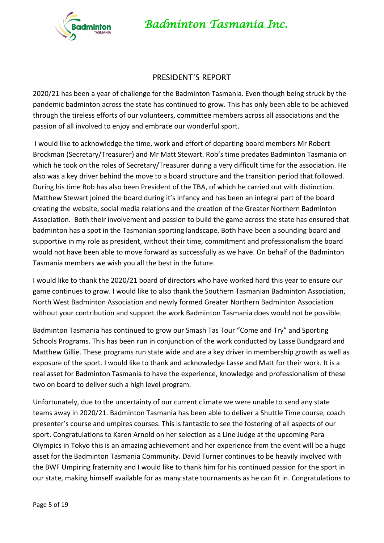



#### PRESIDENT'S REPORT

2020/21 has been a year of challenge for the Badminton Tasmania. Even though being struck by the pandemic badminton across the state has continued to grow. This has only been able to be achieved through the tireless efforts of our volunteers, committee members across all associations and the passion of all involved to enjoy and embrace our wonderful sport.

I would like to acknowledge the time, work and effort of departing board members Mr Robert Brockman (Secretary/Treasurer) and Mr Matt Stewart. Rob's time predates Badminton Tasmania on which he took on the roles of Secretary/Treasurer during a very difficult time for the association. He also was a key driver behind the move to a board structure and the transition period that followed. During his time Rob has also been President of the TBA, of which he carried out with distinction. Matthew Stewart joined the board during it's infancy and has been an integral part of the board creating the website, social media relations and the creation of the Greater Northern Badminton Association. Both their involvement and passion to build the game across the state has ensured that badminton has a spot in the Tasmanian sporting landscape. Both have been a sounding board and supportive in my role as president, without their time, commitment and professionalism the board would not have been able to move forward as successfully as we have. On behalf of the Badminton Tasmania members we wish you all the best in the future.

I would like to thank the 2020/21 board of directors who have worked hard this year to ensure our game continues to grow. I would like to also thank the Southern Tasmanian Badminton Association, North West Badminton Association and newly formed Greater Northern Badminton Association without your contribution and support the work Badminton Tasmania does would not be possible.

Badminton Tasmania has continued to grow our Smash Tas Tour "Come and Try" and Sporting Schools Programs. This has been run in conjunction of the work conducted by Lasse Bundgaard and Matthew Gillie. These programs run state wide and are a key driver in membership growth as well as exposure of the sport. I would like to thank and acknowledge Lasse and Matt for their work. It is a real asset for Badminton Tasmania to have the experience, knowledge and professionalism of these two on board to deliver such a high level program.

Unfortunately, due to the uncertainty of our current climate we were unable to send any state teams away in 2020/21. Badminton Tasmania has been able to deliver a Shuttle Time course, coach presenter's course and umpires courses. This is fantastic to see the fostering of all aspects of our sport. Congratulations to Karen Arnold on her selection as a Line Judge at the upcoming Para Olympics in Tokyo this is an amazing achievement and her experience from the event will be a huge asset for the Badminton Tasmania Community. David Turner continues to be heavily involved with the BWF Umpiring fraternity and I would like to thank him for his continued passion for the sport in our state, making himself available for as many state tournaments as he can fit in. Congratulations to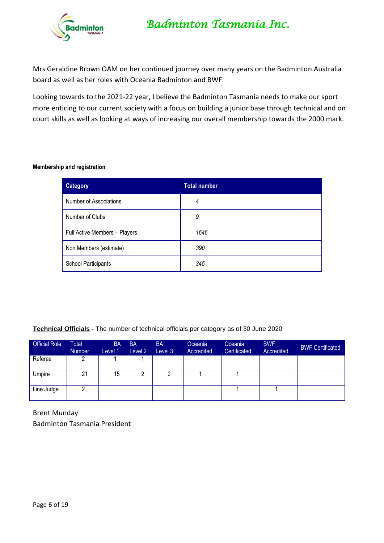

Mrs Geraldine Brown OAM on her continued journey over many years on the Badminton Australia board as well as her roles with Oceania Badminton and BWF.

Looking towards to the 2021-22 year, I believe the Badminton Tasmania needs to make our sport more enticing to our current society with a focus on building a junior base through technical and on court skills as well as looking at ways of increasing our overall membership towards the 2000 mark.

#### **Membership and registration**

| <b>Category</b>               | <b>Total number</b> |
|-------------------------------|---------------------|
| <b>Number of Associations</b> | 4                   |
| Number of Clubs               | 9                   |
| Full Active Members - Players | 1646                |
| Non Members (estimate)        | 390                 |
| School Participants           | 345                 |

#### **Technical Officials -** The number of technical officials per category as of 30 June 2020

| <b>Official Role</b> | <b>Total</b><br><b>Number</b> | <b>BA</b><br>Level 1 | <b>BA</b><br>Level 2 | <b>BA</b><br>Level 3 | Oceania<br>Accredited | Oceania<br>Certificated | <b>BWF</b><br>Accredited | <b>BWF Certificated</b> |
|----------------------|-------------------------------|----------------------|----------------------|----------------------|-----------------------|-------------------------|--------------------------|-------------------------|
| Referee              |                               |                      |                      |                      |                       |                         |                          |                         |
| Umpire               | 21                            | 15                   |                      |                      |                       |                         |                          |                         |
| Line Judge           |                               |                      |                      |                      |                       |                         |                          |                         |

Brent Munday Badminton Tasmania President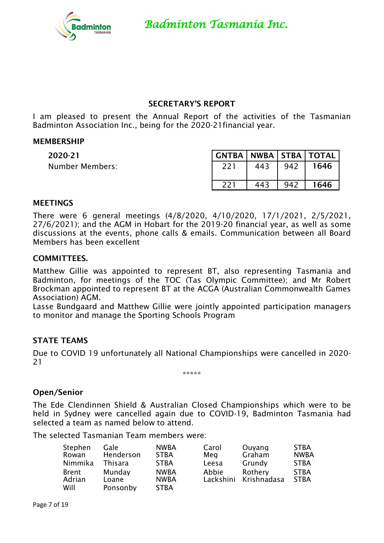

## **SECRETARY'S REPORT**

I am pleased to present the Annual Report of the activities of the Tasmanian Badminton Association Inc., being for the 2020-21financial year.

### **MEMBERSHIP**

| 2020-21         | <b>GNTBA</b> |     |     | NWBA   STBA   TOTAL |
|-----------------|--------------|-----|-----|---------------------|
| Number Members: |              | 443 | 942 | 1646                |
|                 |              | 443 | 942 | 1646                |

#### **MEETINGS**

There were 6 general meetings (4/8/2020, 4/10/2020, 17/1/2021, 2/5/2021, 27/6/2021); and the AGM in Hobart for the 2019-20 financial year, as well as some discussions at the events, phone calls & emails. Communication between all Board Members has been excellent

#### **COMMITTEES.**

Matthew Gillie was appointed to represent BT, also representing Tasmania and Badminton, for meetings of the TOC (Tas Olympic Committee); and Mr Robert Brockman appointed to represent BT at the ACGA (Australian Commonwealth Games Association) AGM.

Lasse Bundgaard and Matthew Gillie were jointly appointed participation managers to monitor and manage the Sporting Schools Program

### **STATE TEAMS**

Due to COVID 19 unfortunately all National Championships were cancelled in 2020- 21

\*\*\*\*\*

## **Open/Senior**

The Ede Clendinnen Shield & Australian Closed Championships which were to be held in Sydney were cancelled again due to COVID-19, Badminton Tasmania had selected a team as named below to attend.

The selected Tasmanian Team members were:

| Stephen<br>Rowan        | Gale<br>Henderson           | <b>NWBA</b><br><b>STBA</b>                | Carol<br>Meg | Ouyang<br>Graham                 | <b>STBA</b><br><b>NWBA</b> |
|-------------------------|-----------------------------|-------------------------------------------|--------------|----------------------------------|----------------------------|
| Nimmika                 | Thisara                     | <b>STBA</b>                               | Leesa        | Grundy                           | <b>STBA</b>                |
| Brent<br>Adrian<br>Will | Munday<br>Loane<br>Ponsonby | <b>NWBA</b><br><b>NWBA</b><br><b>STBA</b> | Abbie        | Rothery<br>Lackshini Krishnadasa | <b>STBA</b><br><b>STBA</b> |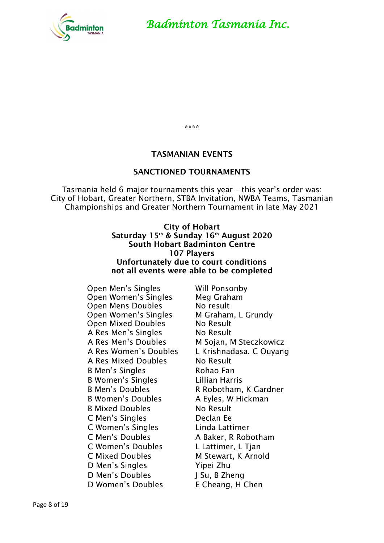

\*\*\*\*

#### **TASMANIAN EVENTS**

#### **SANCTIONED TOURNAMENTS**

Tasmania held 6 major tournaments this year – this year's order was: City of Hobart, Greater Northern, STBA Invitation, NWBA Teams, Tasmanian Championships and Greater Northern Tournament in late May 2021

#### **City of Hobart Saturday 15th & Sunday 16th August 2020 South Hobart Badminton Centre 107 Players Unfortunately due to court conditions not all events were able to be completed**

Open Men's Singles Will Ponsonby Open Women's Singles Meg Graham Open Mens Doubles No result Open Women's Singles M Graham, L Grundy Open Mixed Doubles No Result A Res Men's Singles No Result A Res Men's Doubles M Sojan, M Steczkowicz A Res Mixed Doubles No Result B Men's Singles **Rohao Fan** B Women's Singles Lillian Harris B Men's Doubles R Robotham, K Gardner B Women's Doubles **A Eyles, W Hickman** B Mixed Doubles No Result C Men's Singles Declan Ee C Women's Singles Linda Lattimer C Men's Doubles A Baker, R Robotham C Women's Doubles<br>
L Lattimer, L Tjan C Mixed Doubles M Stewart, K Arnold D Men's Singles Yipei Zhu D Men's Doubles J Su, B Zheng D Women's Doubles E Cheang, H Chen

A Res Women's Doubles L Krishnadasa. C Ouyang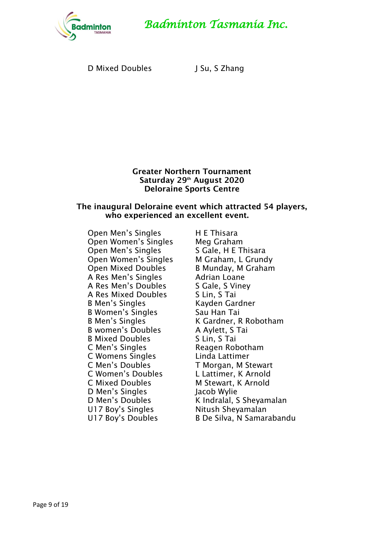

D Mixed Doubles J Su, S Zhang

#### **Greater Northern Tournament Saturday 29th August 2020 Deloraine Sports Centre**

### **The inaugural Deloraine event which attracted 54 players, who experienced an excellent event.**

Open Men's Singles H E Thisara Open Women's Singles Meg Graham Open Men's Singles Sale, H E Thisara Open Women's Singles M Graham, L Grundy Open Mixed Doubles B Munday, M Graham A Res Men's Singles **Adrian Loane** A Res Men's Doubles S Gale, S Viney A Res Mixed Doubles S Lin, S Tai B Men's Singles Kayden Gardner B Women's Singles Sau Han Tai B women's Doubles A Aylett, S Tai B Mixed Doubles S Lin, S Tai C Men's Singles Reagen Robotham C Womens Singles Linda Lattimer C Men's Doubles T Morgan, M Stewart C Women's Doubles L Lattimer, K Arnold C Mixed Doubles M Stewart, K Arnold D Men's Singles Jacob Wylie U17 Boy's Singles Nitush Sheyamalan

B Men's Singles K Gardner, R Robotham D Men's Doubles K Indralal, S Sheyamalan U17 Boy's Doubles B De Silva, N Samarabandu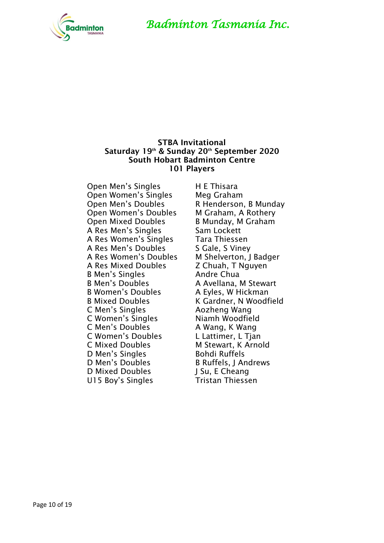

### **STBA Invitational Saturday 19th & Sunday 20th September 2020 South Hobart Badminton Centre 101 Players**

Open Men's Singles H E Thisara Open Women's Singles Meg Graham Open Women's Doubles M Graham, A Rothery Open Mixed Doubles B Munday, M Graham A Res Men's Singles<br>
Sam Lockett A Res Women's Singles Tara Thiessen A Res Men's Doubles Sale, S Viney A Res Women's Doubles M Shelverton, J Badger A Res Mixed Doubles Z Chuah, T Nguyen B Men's Singles **Andre Chua** B Men's Doubles **A** Avellana, M Stewart B Women's Doubles A Eyles, W Hickman C Men's Singles **Aozheng Wang** C Women's Singles Niamh Woodfield C Men's Doubles A Wang, K Wang C Women's Doubles L Lattimer, L Tian C Mixed Doubles M Stewart, K Arnold D Men's Singles Bohdi Ruffels D Men's Doubles B Ruffels, J Andrews D Mixed Doubles J Su, E Cheang U15 Boy's Singles Tristan Thiessen

Open Men's Doubles R Henderson, B Munday B Mixed Doubles K Gardner, N Woodfield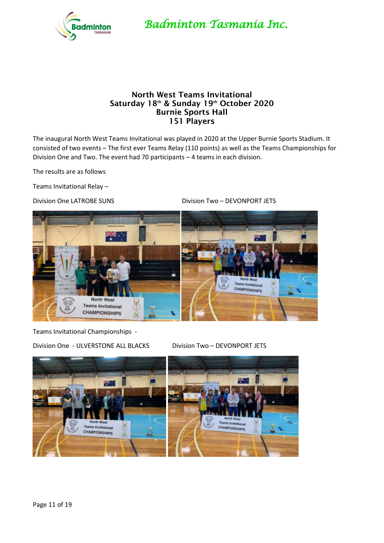

#### **North West Teams Invitational Saturday 18th & Sunday 19th October 2020 Burnie Sports Hall 151 Players**

The inaugural North West Teams Invitational was played in 2020 at the Upper Burnie Sports Stadium. It consisted of two events – The first ever Teams Relay (110 points) as well as the Teams Championships for Division One and Two. The event had 70 participants – 4 teams in each division.

The results are as follows

Teams Invitational Relay –

Division One LATROBE SUNS Division Two – DEVONPORT JETS



Teams Invitational Championships -

Division One - ULVERSTONE ALL BLACKS Division Two - DEVONPORT JETS

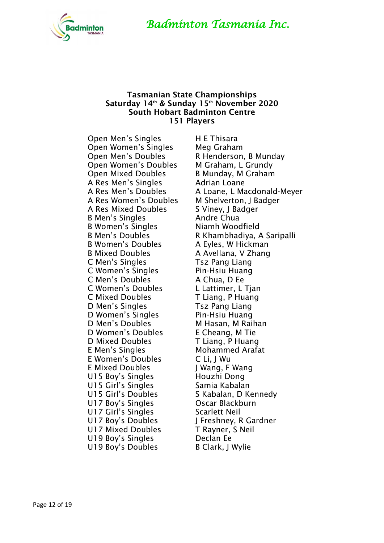



#### **Tasmanian State Championships Saturday 14 th & Sunday 15 th November 2020 South Hobart Badminton Centre 151 Players**

Open Men's Singles<br>
He Thisara Open Women's Singles Meg Graham Open Women's Doubles M Graham, L Grundy Open Mixed Doubles B Munday, M Graham A Res Men's Singles **Adrian Loane** A Res Women's Doubles M Shelverton, J Badger A Res Mixed Doubles S Viney, I Badger B Men's Singles **Andre Chua** B Women's Singles Niamh Woodfield B Women's Doubles A Eyles, W Hickman B Mixed Doubles A Avellana, V Zhang C Men's Singles Tsz Pang Liang C Women's Singles Pin-Hsiu Huang C Men's Doubles A Chua, D Ee C Women's Doubles<br>
L Lattimer, L Tjan C Mixed Doubles T Liang, P Huang D Men's Singles Tsz Pang Liang D Women's Singles Pin-Hsiu Huang D Men's Doubles M Hasan, M Raihan D Women's Doubles E Cheang, M Tie D Mixed Doubles T Liang, P Huang E Men's Singles Mohammed Arafat E Women's Doubles C Li, J Wu E Mixed Doubles J Wang, F Wang U15 Boy's Singles Houzhi Dong U15 Girl's Singles Samia Kabalan U15 Girl's Doubles S Kabalan, D Kennedy U17 Boy's Singles **Oscar Blackburn** U17 Girl's Singles Scarlett Neil U17 Boy's Doubles J Freshney, R Gardner U17 Mixed Doubles T Rayner, S Neil U19 Boy's Singles Declan Ee U19 Boy's Doubles B Clark, J Wylie

Open Men's Doubles R Henderson, B Munday A Res Men's Doubles A Loane, L Macdonald-Meyer B Men's Doubles R Khambhadiya, A Saripalli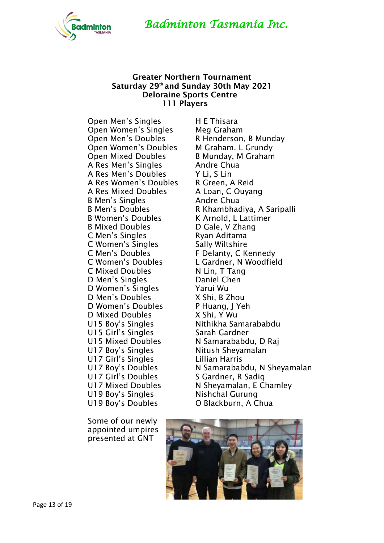

### **Greater Northern Tournament Saturday 29th and Sunday 30th May 2021 Deloraine Sports Centre 111 Players**

Open Men's Singles<br>
H E Thisara Open Women's Singles Meg Graham Open Women's Doubles M Graham. L Grundy Open Mixed Doubles B Munday, M Graham A Res Men's Singles Andre Chua A Res Men's Doubles Y Li, S Lin A Res Women's Doubles R Green, A Reid A Res Mixed Doubles A Loan, C Ouyang B Men's Singles **Andre Chua** B Women's Doubles K Arnold, L Lattimer B Mixed Doubles D Gale, V Zhang C Men's Singles Ryan Aditama C Women's Singles Sally Wiltshire C Men's Doubles F Delanty, C Kennedy C Mixed Doubles N Lin, T Tang D Men's Singles Daniel Chen D Women's Singles Yarui Wu D Men's Doubles X Shi, B Zhou D Women's Doubles P Huang, J Yeh D Mixed Doubles X Shi, Y Wu U15 Girl's Singles Sarah Gardner U15 Mixed Doubles N Samarababdu, D Raj U17 Boy's Singles Nitush Sheyamalan U17 Girl's Singles Lillian Harris U17 Girl's Doubles S Gardner, R Sadiq U19 Boy's Singles Nishchal Gurung U19 Boy's Doubles **O Blackburn, A Chua** 

Some of our newly appointed umpires presented at GNT

Open Men's Doubles R Henderson, B Munday B Men's Doubles R Khambhadiya, A Saripalli C Women's Doubles L Gardner, N Woodfield U15 Boy's Singles Nithikha Samarababdu U17 Boy's Doubles N Samarababdu, N Sheyamalan U17 Mixed Doubles N Sheyamalan, E Chamley

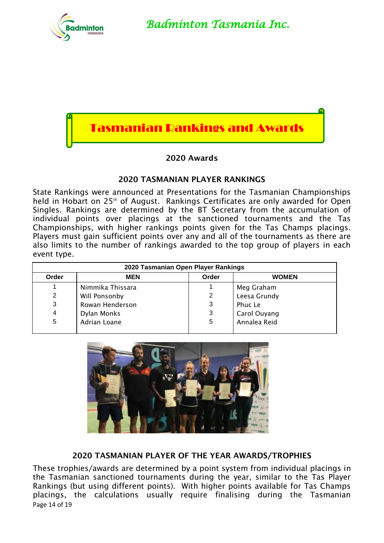



# **2020 Awards**

## **2020 TASMANIAN PLAYER RANKINGS**

State Rankings were announced at Presentations for the Tasmanian Championships held in Hobart on 25th of August. Rankings Certificates are only awarded for Open Singles. Rankings are determined by the BT Secretary from the accumulation of individual points over placings at the sanctioned tournaments and the Tas Championships, with higher rankings points given for the Tas Champs placings. Players must gain sufficient points over any and all of the tournaments as there are also limits to the number of rankings awarded to the top group of players in each event type.

| 2020 Tasmanian Open Player Rankings |                  |       |              |
|-------------------------------------|------------------|-------|--------------|
| Order                               | <b>MEN</b>       | Order | <b>WOMEN</b> |
|                                     | Nimmika Thissara |       | Meg Graham   |
| 2                                   | Will Ponsonby    | 2     | Leesa Grundy |
| 3                                   | Rowan Henderson  | 3     | Phuc Le      |
| 4                                   | Dylan Monks      | 3     | Carol Ouyang |
| 5                                   | Adrian Loane     | 5     | Annalea Reid |
|                                     |                  |       |              |



# **2020 TASMANIAN PLAYER OF THE YEAR AWARDS/TROPHIES**

Page 14 of 19 These trophies/awards are determined by a point system from individual placings in the Tasmanian sanctioned tournaments during the year, similar to the Tas Player Rankings (but using different points). With higher points available for Tas Champs placings, the calculations usually require finalising during the Tasmanian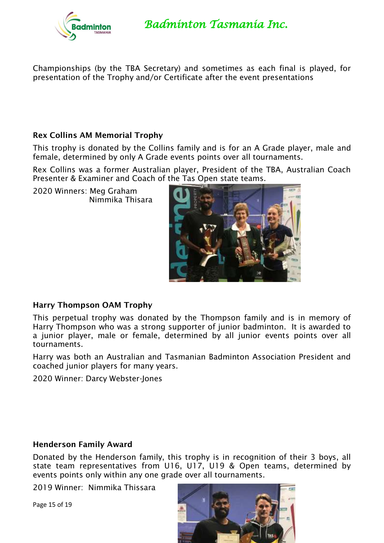

Championships (by the TBA Secretary) and sometimes as each final is played, for presentation of the Trophy and/or Certificate after the event presentations

# **Rex Collins AM Memorial Trophy**

This trophy is donated by the Collins family and is for an A Grade player, male and female, determined by only A Grade events points over all tournaments.

Rex Collins was a former Australian player, President of the TBA, Australian Coach Presenter & Examiner and Coach of the Tas Open state teams.

2020 Winners: Meg Graham Nimmika Thisara



## **Harry Thompson OAM Trophy**

This perpetual trophy was donated by the Thompson family and is in memory of Harry Thompson who was a strong supporter of junior badminton. It is awarded to a junior player, male or female, determined by all junior events points over all tournaments.

Harry was both an Australian and Tasmanian Badminton Association President and coached junior players for many years.

2020 Winner: Darcy Webster-Jones

## **Henderson Family Award**

Donated by the Henderson family, this trophy is in recognition of their 3 boys, all state team representatives from U16, U17, U19 & Open teams, determined by events points only within any one grade over all tournaments.

2019 Winner: Nimmika Thissara

Page 15 of 19

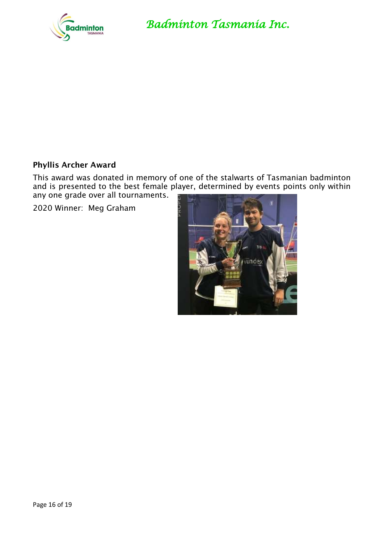

## **Phyllis Archer Award**

This award was donated in memory of one of the stalwarts of Tasmanian badminton and is presented to the best female player, determined by events points only within any one grade over all tournaments.

2020 Winner: Meg Graham

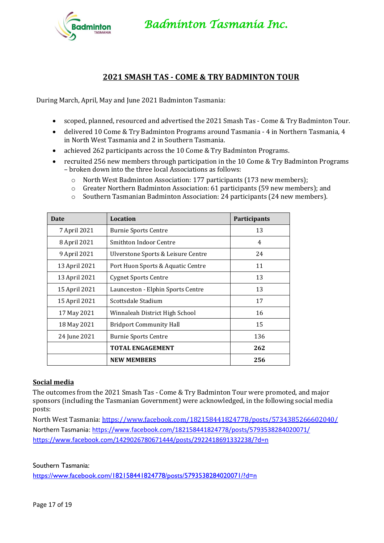

# **2021 SMASH TAS - COME & TRY BADMINTON TOUR**

During March, April, May and June 2021 Badminton Tasmania:

- scoped, planned, resourced and advertised the 2021 Smash Tas Come & Try Badminton Tour.
- delivered 10 Come & Try Badminton Programs around Tasmania 4 in Northern Tasmania, 4 in North West Tasmania and 2 in Southern Tasmania.
- achieved 262 participants across the 10 Come & Try Badminton Programs.
- recruited 256 new members through participation in the 10 Come & Try Badminton Programs – broken down into the three local Associations as follows:
	- o North West Badminton Association: 177 participants (173 new members);
	- $\circ$  Greater Northern Badminton Association: 61 participants (59 new members); and
	- o Southern Tasmanian Badminton Association: 24 participants (24 new members).

| <b>Date</b>   | <b>Location</b>                    | Participants |
|---------------|------------------------------------|--------------|
| 7 April 2021  | <b>Burnie Sports Centre</b>        | 13           |
| 8 April 2021  | Smithton Indoor Centre             | 4            |
| 9 April 2021  | Ulverstone Sports & Leisure Centre | 24           |
| 13 April 2021 | Port Huon Sports & Aquatic Centre  | 11           |
| 13 April 2021 | <b>Cygnet Sports Centre</b>        | 13           |
| 15 April 2021 | Launceston - Elphin Sports Centre  | 13           |
| 15 April 2021 | Scottsdale Stadium                 | 17           |
| 17 May 2021   | Winnaleah District High School     | 16           |
| 18 May 2021   | <b>Bridport Community Hall</b>     | 15           |
| 24 June 2021  | <b>Burnie Sports Centre</b>        | 136          |
|               | <b>TOTAL ENGAGEMENT</b>            | 262          |
|               | <b>NEW MEMBERS</b>                 | 256          |

#### **Social media**

The outcomes from the 2021 Smash Tas - Come & Try Badminton Tour were promoted, and major sponsors (including the Tasmanian Government) were acknowledged, in the following social media posts:

North West Tasmania[: https://www.facebook.com/182158441824778/posts/5734385266602040/](https://www.facebook.com/182158441824778/posts/5734385266602040/) Northern Tasmania:<https://www.facebook.com/182158441824778/posts/5793538284020071/> <https://www.facebook.com/1429026780671444/posts/2922418691332238/?d=n>

Southern Tasmania:

<https://www.facebook.com/182158441824778/posts/5793538284020071/?d=n>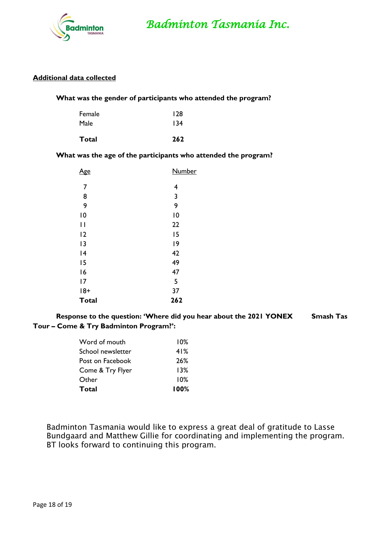

#### **Additional data collected**

#### **What was the gender of participants who attended the program?**

| Total  | 262 |
|--------|-----|
| Male   | 134 |
| Female | 128 |

#### **What was the age of the participants who attended the program?**

| <u>Age</u>   | <b>Number</b>  |
|--------------|----------------|
| 7            | 4              |
| 8            | 3              |
| 9            | 9              |
| 10           | $\overline{0}$ |
| П            | 22             |
| 12           | 15             |
| 13           | 19             |
| 4            | 42             |
| 15           | 49             |
| 16           | 47             |
| 17           | 5              |
| $18+$        | 37             |
| <b>Total</b> | 262            |

**Response to the question: 'Where did you hear about the 2021 YONEX Smash Tas Tour – Come & Try Badminton Program?':**

| 100% |
|------|
| 10%  |
| 13%  |
| 26%  |
| 41%  |
| 10%  |
|      |

Badminton Tasmania would like to express a great deal of gratitude to Lasse Bundgaard and Matthew Gillie for coordinating and implementing the program. BT looks forward to continuing this program.